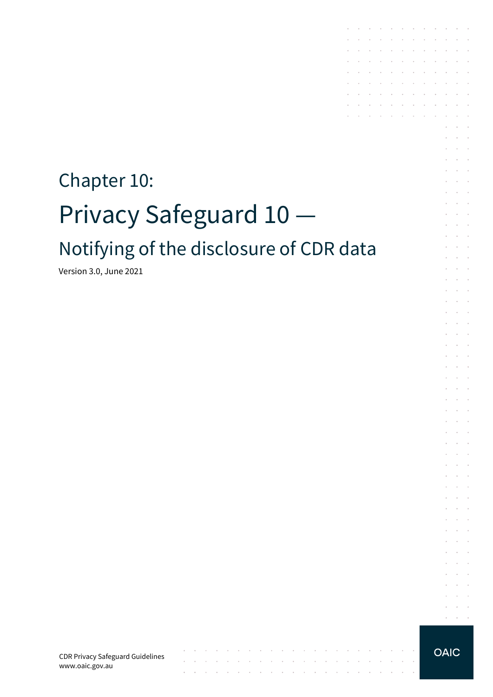# Chapter 10: Privacy Safeguard 10 Notifying of the disclosure of CDR data

the control of the con-

 $\mathcal{L}^{\mathcal{A}}$  ,  $\mathcal{L}^{\mathcal{A}}$  ,  $\mathcal{L}^{\mathcal{A}}$  ,  $\mathcal{L}^{\mathcal{A}}$  ,  $\mathcal{L}^{\mathcal{A}}$  ,  $\mathcal{L}^{\mathcal{A}}$ 

the contract of the contract of the contract of

 $\sim$  $\sim$ 

Version 3.0, June 2021

CDR Privacy Safeguard Guidelines www.oaic.gov.au

**OAIC** 

 $\alpha$  ,  $\beta$  ,  $\beta$  ,  $\beta$ 

the contract of the contract

and a strain and a strain

 $\sim$   $\sim$ 

 $\sim$   $\sim$ 

**Contract Contract** 

 $\sim$  $\sim$  $\sim$ 

**Contract Contract** 

 $\sim$   $\sim$ 

 $\sim$  $\ddot{\phantom{1}}$ 

à.  $\mathcal{L}$  $\overline{\phantom{a}}$  $\mathcal{L}_{\mathcal{A}}$  $\ddot{\phantom{1}}$ 

 $\mathcal{L}$  $\sim$  $\mathcal{L}$  $\mathcal{L}$ 

 $\epsilon$  $\mathcal{L}_{\mathcal{A}}$  $\mathbf{r}$  $\sim$ 

 $\mathbb{R}^2$  $\mathcal{L}$  $\overline{\phantom{a}}$  $\mathcal{L}$ 

 $\mathcal{L}$  $\sim$  $\epsilon$  $\sim$  $\bar{a}$ 

 $\epsilon$  $\sim$  10  $\sim$  $\mathcal{L}_{\mathcal{A}}$ 

 $\mathcal{L}$  $\mathcal{L}$  $\overline{\phantom{a}}$ 

 $\sim$  $\sim$   $\sim$ 

÷  $\sim$ ÷  $\sim$  $\overline{\phantom{a}}$ 

 $\mathcal{L}$  $\mathcal{L}$  $\sim$ 

 $\sim$  $\sim$  $\ddot{\phantom{1}}$ 

 $\mathcal{L}$  $\sim$  $\mathcal{L}$  $\mathcal{L}_{\mathcal{A}}$  $\mathbf{r}$ 

 $\mathcal{L}$  $\mathcal{L}$  $\mathcal{L}$ 

 $\sim$ 

 $\overline{a}$ 

÷  $\sim$  $\sim$ 

 $\overline{\phantom{a}}$  $\mathbb{R}^2$  $\sim$ 

 $\mathcal{L}$  $\sim$  $\sim$  $\sim$  $\sim$  $\sim$  $\sim$  $\sim$  $\sim$ 

 $\sim$  $\sim$ 

 $\sim$ 

 $\sim$  $\sim$ 

 $\mathcal{L}^{\text{max}}$ 

 $\sim$  $\mathcal{L}_{\mathcal{A}}$ 

 $\sim$ 

 $\sim$   $\sim$ 

and a straightful control of the **Contract Contract**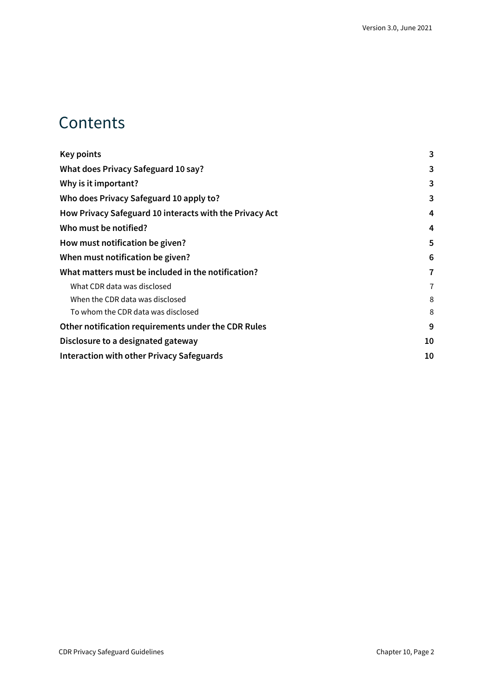### **Contents**

| <b>Key points</b>                                       | 3  |
|---------------------------------------------------------|----|
| What does Privacy Safeguard 10 say?                     | 3  |
| Why is it important?                                    | 3  |
| Who does Privacy Safeguard 10 apply to?                 | 3  |
| How Privacy Safeguard 10 interacts with the Privacy Act | 4  |
| Who must be notified?                                   | 4  |
| How must notification be given?                         | 5  |
| When must notification be given?                        | 6  |
| What matters must be included in the notification?      | 7  |
| What CDR data was disclosed                             | 7  |
| When the CDR data was disclosed                         | 8  |
| To whom the CDR data was disclosed                      | 8  |
| Other notification requirements under the CDR Rules     | 9  |
| Disclosure to a designated gateway                      | 10 |
| <b>Interaction with other Privacy Safeguards</b>        | 10 |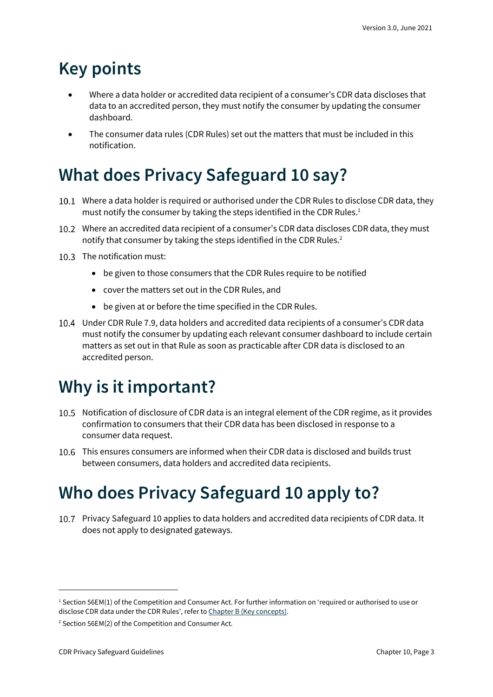## <span id="page-2-0"></span>**Key points**

- Where a data holder or accredited data recipient of a consumer's CDR data discloses that data to an accredited person, they must notify the consumer by updating the consumer dashboard.
- The consumer data rules (CDR Rules) set out the matters that must be included in this notification.

# <span id="page-2-1"></span>**What does Privacy Safeguard 10 say?**

- 10.1 Where a data holder is required or authorised under the CDR Rules to disclose CDR data, they must notify the consumer by taking the steps identified in the CDR Rules.<sup>1</sup>
- Where an accredited data recipient of a consumer's CDR data discloses CDR data, they must notify that consumer by taking the steps identified in the CDR Rules.<sup>2</sup>
- 10.3 The notification must:
	- be given to those consumers that the CDR Rules require to be notified
	- cover the matters set out in the CDR Rules, and
	- be given at or before the time specified in the CDR Rules.
- Under CDR Rule 7.9, data holders and accredited data recipients of a consumer's CDR data must notify the consumer by updating each relevant consumer dashboard to include certain matters as set out in that Rule as soon as practicable after CDR data is disclosed to an accredited person.

# <span id="page-2-2"></span>**Why is it important?**

- 10.5 Notification of disclosure of CDR data is an integral element of the CDR regime, as it provides confirmation to consumers that their CDR data has been disclosed in response to a consumer data request.
- This ensures consumers are informed when their CDR data is disclosed and builds trust between consumers, data holders and accredited data recipients.

## <span id="page-2-3"></span>**Who does Privacy Safeguard 10 apply to?**

Privacy Safeguard 10 applies to data holders and accredited data recipients of CDR data. It does not apply to designated gateways.

<sup>&</sup>lt;sup>1</sup> Section 56EM(1) of the Competition and Consumer Act. For further information on 'required or authorised to use or disclose CDR data under the CDR Rules', refer to [Chapter B \(Key concepts\).](https://www.oaic.gov.au/consumer-data-right/cdr-privacy-safeguard-guidelines/chapter-b-key-concepts)

<sup>2</sup> Section 56EM(2) of the Competition and Consumer Act.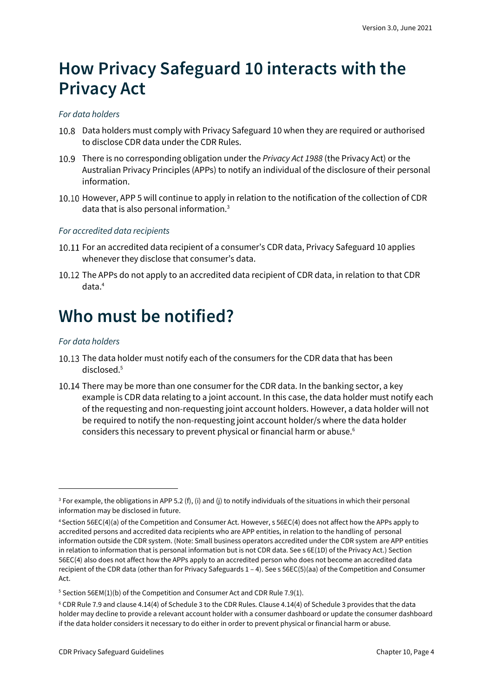### <span id="page-3-0"></span>**How Privacy Safeguard 10 interacts with the Privacy Act**

#### *For data holders*

- 10.8 Data holders must comply with Privacy Safeguard 10 when they are required or authorised to disclose CDR data under the CDR Rules.
- There is no corresponding obligation under the *Privacy Act 1988* (the Privacy Act) or the Australian Privacy Principles (APPs) to notify an individual of the disclosure of their personal information.
- 10.10 However, APP 5 will continue to apply in relation to the notification of the collection of CDR data that is also personal information.<sup>3</sup>

#### *For accredited data recipients*

- 10.11 For an accredited data recipient of a consumer's CDR data, Privacy Safeguard 10 applies whenever they disclose that consumer's data.
- 10.12 The APPs do not apply to an accredited data recipient of CDR data, in relation to that CDR data.<sup>4</sup>

### <span id="page-3-1"></span>**Who must be notified?**

#### *For data holders*

- 10.13 The data holder must notify each of the consumers for the CDR data that has been disclosed.<sup>5</sup>
- 10.14 There may be more than one consumer for the CDR data. In the banking sector, a key example is CDR data relating to a joint account. In this case, the data holder must notify each of the requesting and non-requesting joint account holders. However, a data holder will not be required to notify the non-requesting joint account holder/s where the data holder considers this necessary to prevent physical or financial harm or abuse.<sup>6</sup>

 $3$  For example, the obligations in APP 5.2 (f), (i) and (j) to notify individuals of the situations in which their personal information may be disclosed in future.

<sup>4</sup>Section 56EC(4)(a) of the Competition and Consumer Act. However, s 56EC(4) does not affect how the APPs apply to accredited persons and accredited data recipients who are APP entities, in relation to the handling of personal information outside the CDR system. (Note: Small business operators accredited under the CDR system are APP entities in relation to information that is personal information but is not CDR data. See s 6E(1D) of the Privacy Act.) Section 56EC(4) also does not affect how the APPs apply to an accredited person who does not become an accredited data recipient of the CDR data (other than for Privacy Safeguards 1 – 4). See s 56EC(5)(aa) of the Competition and Consumer Act.

<sup>&</sup>lt;sup>5</sup> Section 56EM(1)(b) of the Competition and Consumer Act and CDR Rule 7.9(1).

<sup>6</sup> CDR Rule 7.9 and clause 4.14(4) of Schedule 3 to the CDR Rules. Clause 4.14(4) of Schedule 3 provides that the data holder may decline to provide a relevant account holder with a consumer dashboard or update the consumer dashboard if the data holder considers it necessary to do either in order to prevent physical or financial harm or abuse.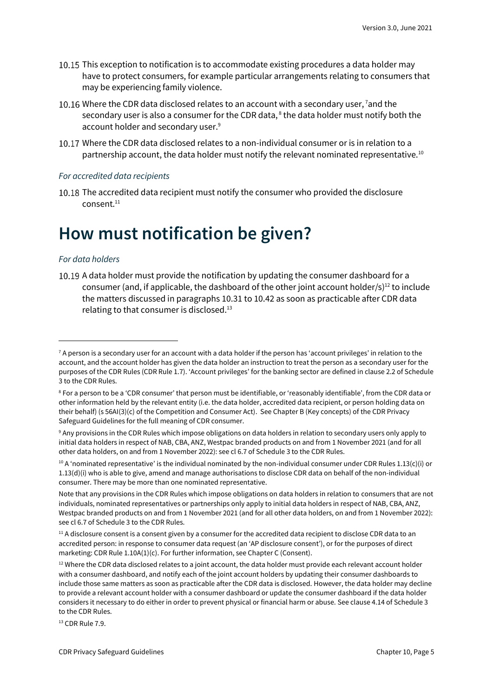- 10.15 This exception to notification is to accommodate existing procedures a data holder may have to protect consumers, for example particular arrangements relating to consumers that may be experiencing family violence.
- 10.16 Where the CDR data disclosed relates to an account with a secondary user, <sup>7</sup>and the secondary user is also a consumer for the CDR data, $<sup>8</sup>$  the data holder must notify both the</sup> account holder and secondary user.<sup>9</sup>
- Where the CDR data disclosed relates to a non-individual consumer or is in relation to a partnership account, the data holder must notify the relevant nominated representative.<sup>10</sup>

#### *For accredited data recipients*

10.18 The accredited data recipient must notify the consumer who provided the disclosure consent.<sup>11</sup>

### <span id="page-4-0"></span>**How must notification be given?**

#### *For data holders*

10.19 A data holder must provide the notification by updating the consumer dashboard for a consumer (and, if applicable, the dashboard of the other joint account holder/s)<sup>12</sup> to include the matters discussed in paragraphs 10.31 to 10.42 as soon as practicable after CDR data relating to that consumer is disclosed.<sup>13</sup>

<sup>13</sup> CDR Rule 7.9.

 $7$  A person is a secondary user for an account with a data holder if the person has 'account privileges' in relation to the account, and the account holder has given the data holder an instruction to treat the person as a secondary user for the purposes of the CDR Rules (CDR Rule 1.7). 'Account privileges' for the banking sector are defined in clause 2.2 of Schedule 3 to the CDR Rules.

<sup>8</sup> For a person to be a 'CDR consumer' that person must be identifiable, or 'reasonably identifiable', from the CDR data or other information held by the relevant entity (i.e. the data holder, accredited data recipient, or person holding data on their behalf) (s 56AI(3)(c) of the Competition and Consumer Act). See Chapter B (Key concepts) of the CDR Privacy Safeguard Guidelines for the full meaning of CDR consumer.

<sup>9</sup> Any provisions in the CDR Rules which impose obligations on data holders in relation to secondary users only apply to initial data holders in respect of NAB, CBA, ANZ, Westpac branded products on and from 1 November 2021 (and for all other data holders, on and from 1 November 2022): see cl 6.7 of Schedule 3 to the CDR Rules.

 $10$  A 'nominated representative' is the individual nominated by the non-individual consumer under CDR Rules 1.13(c)(i) or 1.13(d)(i) who is able to give, amend and manage authorisations to disclose CDR data on behalf of the non-individual consumer. There may be more than one nominated representative.

Note that any provisions in the CDR Rules which impose obligations on data holders in relation to consumers that are not individuals, nominated representatives or partnerships only apply to initial data holders in respect of NAB, CBA, ANZ, Westpac branded products on and from 1 November 2021 (and for all other data holders, on and from 1 November 2022): see cl 6.7 of Schedule 3 to the CDR Rules.

 $11$  A disclosure consent is a consent given by a consumer for the accredited data recipient to disclose CDR data to an accredited person: in response to consumer data request (an 'AP disclosure consent'), or for the purposes of direct marketing: CDR Rule 1.10A(1)(c). For further information, see Chapter C (Consent).

 $12$  Where the CDR data disclosed relates to a joint account, the data holder must provide each relevant account holder with a consumer dashboard, and notify each of the joint account holders by updating their consumer dashboards to include those same matters as soon as practicable after the CDR data is disclosed. However, the data holder may decline to provide a relevant account holder with a consumer dashboard or update the consumer dashboard if the data holder considers it necessary to do either in order to prevent physical or financial harm or abuse. See clause 4.14 of Schedule 3 to the CDR Rules.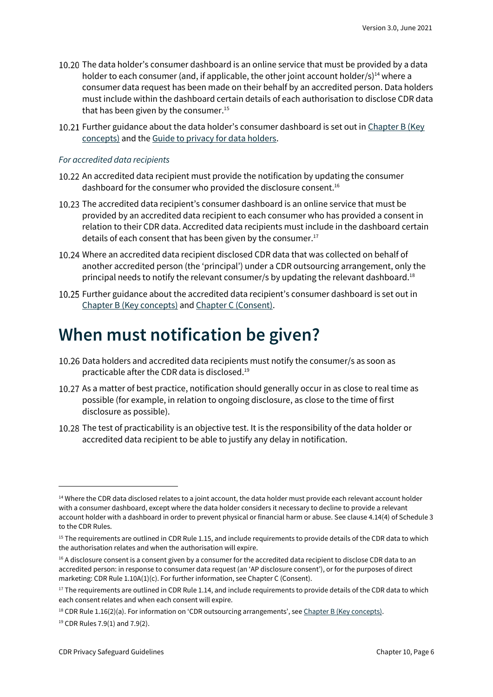- 10.20 The data holder's consumer dashboard is an online service that must be provided by a data holder to each consumer (and, if applicable, the other joint account holder/s)<sup>14</sup> where a consumer data request has been made on their behalf by an accredited person. Data holders must include within the dashboard certain details of each authorisation to disclose CDR data that has been given by the consumer. $15$
- 10.21 Further guidance about the data holder's consumer dashboard is set out in Chapter B (Key [concepts\)](https://www.oaic.gov.au/consumer-data-right/cdr-privacy-safeguard-guidelines/chapter-b-key-concepts) and the [Guide to privacy for data holders.](https://www.oaic.gov.au/consumer-data-right/guidance-and-advice/guide-to-privacy-for-data-holders/#how-authorisations-must-be-managed)

#### *For accredited data recipients*

- 10.22 An accredited data recipient must provide the notification by updating the consumer dashboard for the consumer who provided the disclosure consent.<sup>16</sup>
- 10.23 The accredited data recipient's consumer dashboard is an online service that must be provided by an accredited data recipient to each consumer who has provided a consent in relation to their CDR data. Accredited data recipients must include in the dashboard certain details of each consent that has been given by the consumer.<sup>17</sup>
- Where an accredited data recipient disclosed CDR data that was collected on behalf of another accredited person (the 'principal') under a CDR outsourcing arrangement, only the principal needs to notify the relevant consumer/s by updating the relevant dashboard.<sup>18</sup>
- 10.25 Further guidance about the accredited data recipient's consumer dashboard is set out in [Chapter B \(Key concepts\)](https://www.oaic.gov.au/consumer-data-right/cdr-privacy-safeguard-guidelines/chapter-b-key-concepts/) and [Chapter C \(Consent\).](https://www.oaic.gov.au/consumer-data-right/cdr-privacy-safeguard-guidelines/chapter-c-consent-the-basis-for-collecting-and-using-cdr-data/)

### <span id="page-5-0"></span>**When must notification be given?**

- 10.26 Data holders and accredited data recipients must notify the consumer/s as soon as practicable after the CDR data is disclosed.<sup>19</sup>
- 10.27 As a matter of best practice, notification should generally occur in as close to real time as possible (for example, in relation to ongoing disclosure, as close to the time of first disclosure as possible).
- 10.28 The test of practicability is an objective test. It is the responsibility of the data holder or accredited data recipient to be able to justify any delay in notification.

<sup>&</sup>lt;sup>14</sup> Where the CDR data disclosed relates to a joint account, the data holder must provide each relevant account holder with a consumer dashboard, except where the data holder considers it necessary to decline to provide a relevant account holder with a dashboard in order to prevent physical or financial harm or abuse. See clause 4.14(4) of Schedule 3 to the CDR Rules.

 $15$  The requirements are outlined in CDR Rule 1.15, and include requirements to provide details of the CDR data to which the authorisation relates and when the authorisation will expire.

<sup>&</sup>lt;sup>16</sup> A disclosure consent is a consent given by a consumer for the accredited data recipient to disclose CDR data to an accredited person: in response to consumer data request (an 'AP disclosure consent'), or for the purposes of direct marketing: CDR Rule 1.10A(1)(c). For further information, see Chapter C (Consent).

<sup>&</sup>lt;sup>17</sup> The requirements are outlined in CDR Rule 1.14, and include requirements to provide details of the CDR data to which each consent relates and when each consent will expire.

<sup>&</sup>lt;sup>18</sup> CDR Rule 1.16(2)(a). For information on 'CDR outsourcing arrangements', see [Chapter B \(Key concepts\).](https://www.oaic.gov.au/consumer-data-right/cdr-privacy-safeguard-guidelines/chapter-b-key-concepts)

<sup>19</sup> CDR Rules 7.9(1) and 7.9(2).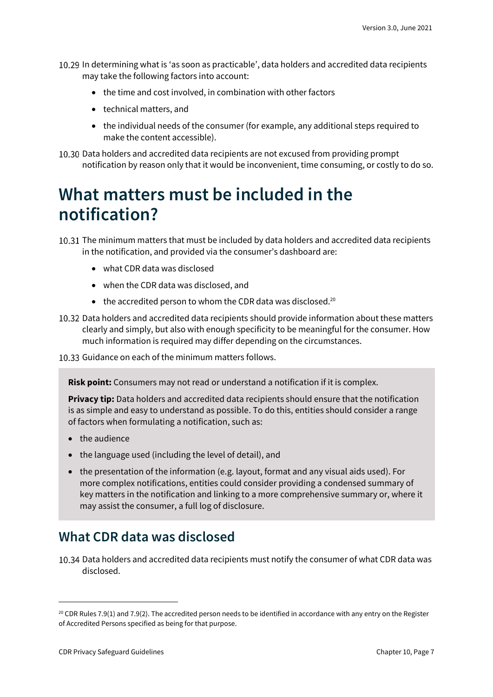- In determining what is 'as soon as practicable', data holders and accredited data recipients may take the following factors into account:
	- the time and cost involved, in combination with other factors
	- technical matters, and
	- the individual needs of the consumer (for example, any additional steps required to make the content accessible).

10.30 Data holders and accredited data recipients are not excused from providing prompt notification by reason only that it would be inconvenient, time consuming, or costly to do so.

### <span id="page-6-0"></span>**What matters must be included in the notification?**

The minimum matters that must be included by data holders and accredited data recipients in the notification, and provided via the consumer's dashboard are:

- what CDR data was disclosed
- when the CDR data was disclosed, and
- $\bullet$  the accredited person to whom the CDR data was disclosed.<sup>20</sup>
- 10.32 Data holders and accredited data recipients should provide information about these matters clearly and simply, but also with enough specificity to be meaningful for the consumer. How much information is required may differ depending on the circumstances.

10.33 Guidance on each of the minimum matters follows.

**Risk point:** Consumers may not read or understand a notification if it is complex.

**Privacy tip:** Data holders and accredited data recipients should ensure that the notification is as simple and easy to understand as possible. To do this, entities should consider a range of factors when formulating a notification, such as:

- the audience
- the language used (including the level of detail), and
- the presentation of the information (e.g. layout, format and any visual aids used). For more complex notifications, entities could consider providing a condensed summary of key matters in the notification and linking to a more comprehensive summary or, where it may assist the consumer, a full log of disclosure.

### <span id="page-6-1"></span>**What CDR data was disclosed**

10.34 Data holders and accredited data recipients must notify the consumer of what CDR data was disclosed.

 $20$  CDR Rules 7.9(1) and 7.9(2). The accredited person needs to be identified in accordance with any entry on the Register of Accredited Persons specified as being for that purpose.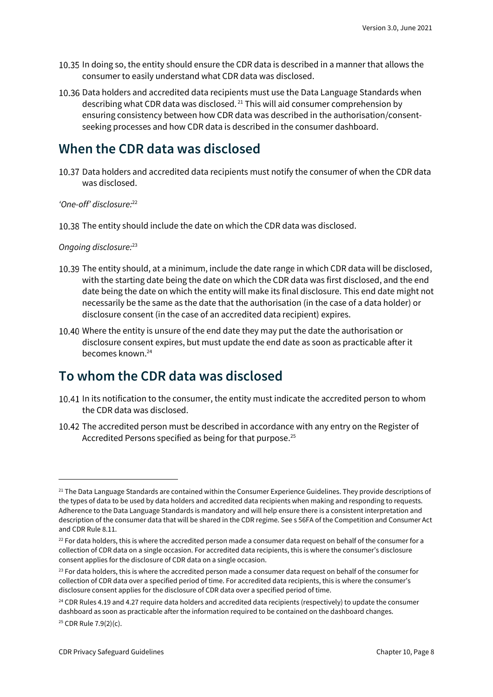- In doing so, the entity should ensure the CDR data is described in a manner that allows the consumer to easily understand what CDR data was disclosed.
- 10.36 Data holders and accredited data recipients must use the Data Language Standards when describing what CDR data was disclosed. <sup>21</sup> This will aid consumer comprehension by ensuring consistency between how CDR data was described in the authorisation/consentseeking processes and how CDR data is described in the consumer dashboard.

### <span id="page-7-0"></span>**When the CDR data was disclosed**

10.37 Data holders and accredited data recipients must notify the consumer of when the CDR data was disclosed.

*'One-off' disclosure:*<sup>22</sup>

10.38 The entity should include the date on which the CDR data was disclosed.

*Ongoing disclosure:* 23

- 10.39 The entity should, at a minimum, include the date range in which CDR data will be disclosed, with the starting date being the date on which the CDR data was first disclosed, and the end date being the date on which the entity will make its final disclosure. This end date might not necessarily be the same as the date that the authorisation (in the case of a data holder) or disclosure consent (in the case of an accredited data recipient) expires.
- 10.40 Where the entity is unsure of the end date they may put the date the authorisation or disclosure consent expires, but must update the end date as soon as practicable after it becomes known.<sup>24</sup>

### <span id="page-7-1"></span>**To whom the CDR data was disclosed**

- 10.41 In its notification to the consumer, the entity must indicate the accredited person to whom the CDR data was disclosed.
- 10.42 The accredited person must be described in accordance with any entry on the Register of Accredited Persons specified as being for that purpose.<sup>25</sup>

<sup>&</sup>lt;sup>21</sup> The Data Language Standards are contained within the Consumer Experience Guidelines. They provide descriptions of the types of data to be used by data holders and accredited data recipients when making and responding to requests. Adherence to the Data Language Standards is mandatory and will help ensure there is a consistent interpretation and description of the consumer data that will be shared in the CDR regime. See s 56FA of the Competition and Consumer Act and CDR Rule 8.11.

 $22$  For data holders, this is where the accredited person made a consumer data request on behalf of the consumer for a collection of CDR data on a single occasion. For accredited data recipients, this is where the consumer's disclosure consent applies for the disclosure of CDR data on a single occasion.

 $23$  For data holders, this is where the accredited person made a consumer data request on behalf of the consumer for collection of CDR data over a specified period of time. For accredited data recipients, this is where the consumer's disclosure consent applies for the disclosure of CDR data over a specified period of time.

 $24$  CDR Rules 4.19 and 4.27 require data holders and accredited data recipients (respectively) to update the consumer dashboard as soon as practicable after the information required to be contained on the dashboard changes.

<sup>25</sup> CDR Rule 7.9(2)(c).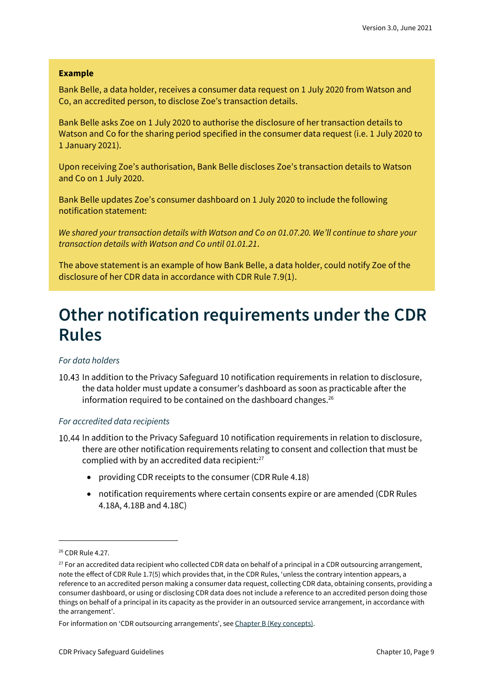#### **Example**

Bank Belle, a data holder, receives a consumer data request on 1 July 2020 from Watson and Co, an accredited person, to disclose Zoe's transaction details.

Bank Belle asks Zoe on 1 July 2020 to authorise the disclosure of her transaction details to Watson and Co for the sharing period specified in the consumer data request (i.e. 1 July 2020 to 1 January 2021).

Upon receiving Zoe's authorisation, Bank Belle discloses Zoe's transaction details to Watson and Co on 1 July 2020.

Bank Belle updates Zoe's consumer dashboard on 1 July 2020 to include the following notification statement:

*We shared your transaction details with Watson and Co on 01.07.20. We'll continue to share your transaction details with Watson and Co until 01.01.21*.

The above statement is an example of how Bank Belle, a data holder, could notify Zoe of the disclosure of her CDR data in accordance with CDR Rule 7.9(1).

### <span id="page-8-0"></span>**Other notification requirements under the CDR Rules**

#### *For data holders*

In addition to the Privacy Safeguard 10 notification requirements in relation to disclosure, the data holder must update a consumer's dashboard as soon as practicable after the information required to be contained on the dashboard changes. $26$ 

#### *For accredited data recipients*

- In addition to the Privacy Safeguard 10 notification requirements in relation to disclosure, there are other notification requirements relating to consent and collection that must be complied with by an accredited data recipient: $27$ 
	- providing CDR receipts to the consumer (CDR Rule 4.18)
	- notification requirements where certain consents expire or are amended (CDR Rules 4.18A, 4.18B and 4.18C)

<sup>&</sup>lt;sup>26</sup> CDR Rule 4.27.

 $27$  For an accredited data recipient who collected CDR data on behalf of a principal in a CDR outsourcing arrangement, note the effect of CDR Rule 1.7(5) which provides that, in the CDR Rules, 'unless the contrary intention appears, a reference to an accredited person making a consumer data request, collecting CDR data, obtaining consents, providing a consumer dashboard, or using or disclosing CDR data does not include a reference to an accredited person doing those things on behalf of a principal in its capacity as the provider in an outsourced service arrangement, in accordance with the arrangement'.

For information on 'CDR outsourcing arrangements', see [Chapter B \(Key concepts\).](https://www.oaic.gov.au/consumer-data-right/cdr-privacy-safeguard-guidelines/chapter-b-key-concepts)